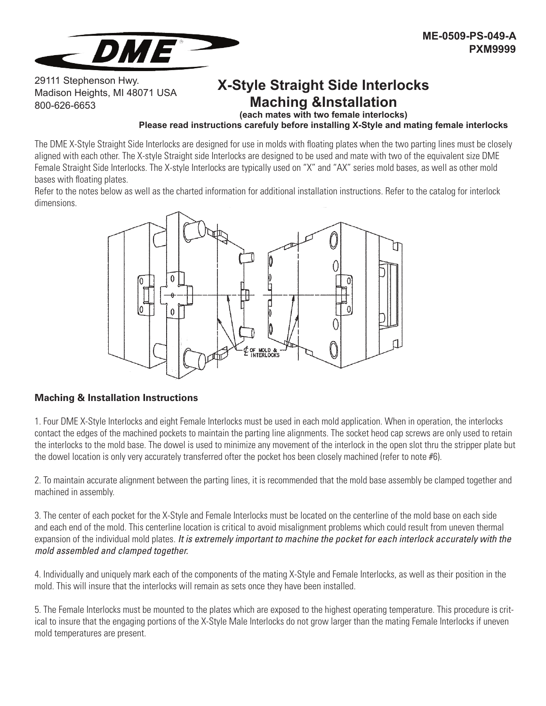

29111 Stephenson Hwy. Madison Heights, MI 48071 USA 800-626-6653

## **X-Style Straight Side Interlocks Maching &Installation**

**(each mates with two female interlocks)**

#### **Please read instructions carefuly before installing X-Style and mating female interlocks**

The DME X-Style Straight Side Interlocks are designed for use in molds with floating plates when the two parting lines must be closely aligned with each other. The X-style Straight side Interlocks are designed to be used and mate with two of the equivalent size DME Female Straight Side Interlocks. The X-style Interlocks are typically used on "X" and "AX" series mold bases, as well as other mold bases with floating plates.

Refer to the notes below as well as the charted information for additional installation instructions. Refer to the catalog for interlock dimensions.



#### **Maching & Installation Instructions**

1. Four DME X-Style Interlocks and eight Female Interlocks must be used in each mold application. When in operation, the interlocks contact the edges of the machined pockets to maintain the parting line alignments. The socket heod cap screws are only used to retain the interlocks to the mold base. The dowel is used to minimize any movement of the interlock in the open slot thru the stripper plate but the dowel location is only very accurately transferred ofter the pocket hos been closely machined (refer to note #6).

2. To maintain accurate alignment between the parting lines, it is recommended that the mold base assembly be clamped together and machined in assembly.

3. The center of each pocket for the X-Style and Female Interlocks must be located on the centerline of the mold base on each side and each end of the mold. This centerline location is critical to avoid misalignment problems which could result from uneven thermal expansion of the individual mold plates. *It is extremely important to machine the pocket for each interlock accurately with the mold assembled and clamped together.*

4. Individually and uniquely mark each of the components of the mating X-Style and Female Interlocks, as well as their position in the mold. This will insure that the interlocks will remain as sets once they have been installed.

5. The Female Interlocks must be mounted to the plates which are exposed to the highest operating temperature. This procedure is critical to insure that the engaging portions of the X-Style Male Interlocks do not grow larger than the mating Female Interlocks if uneven mold temperatures are present.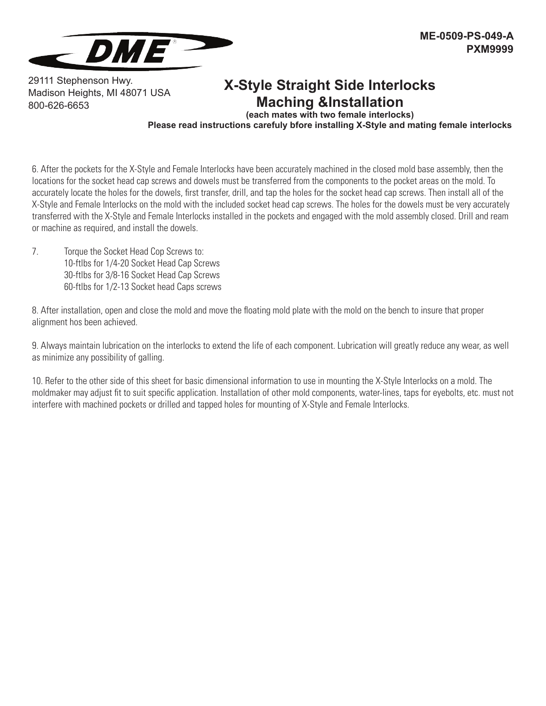

29111 Stephenson Hwy. Madison Heights, MI 48071 USA 800-626-6653

### **X-Style Straight Side Interlocks Maching &Installation**

**(each mates with two female interlocks)**

**Please read instructions carefuly bfore installing X-Style and mating female interlocks**

6. After the pockets for the X-Style and Female Interlocks have been accurately machined in the closed mold base assembly, then the locations for the socket head cap screws and dowels must be transferred from the components to the pocket areas on the mold. To accurately locate the holes for the dowels, first transfer, drill, and tap the holes for the socket head cap screws. Then install all of the X-Style and Female Interlocks on the mold with the included socket head cap screws. The holes for the dowels must be very accurately transferred with the X-Style and Female Interlocks installed in the pockets and engaged with the mold assembly closed. Drill and ream or machine as required, and install the dowels.

7. Torque the Socket Head Cop Screws to: 10-ftlbs for 1/4-20 Socket Head Cap Screws 30-ftlbs for 3/8-16 Socket Head Cap Screws 60-ftlbs for 1/2-13 Socket head Caps screws

8. After installation, open and close the mold and move the floating mold plate with the mold on the bench to insure that proper alignment hos been achieved.

9. Always maintain lubrication on the interlocks to extend the life of each component. Lubrication will greatly reduce any wear, as well as minimize any possibility of galling.

10. Refer to the other side of this sheet for basic dimensional information to use in mounting the X-Style Interlocks on a mold. The moldmaker may adjust fit to suit specific application. Installation of other mold components, water-lines, taps for eyebolts, etc. must not interfere with machined pockets or drilled and tapped holes for mounting of X-Style and Female Interlocks.